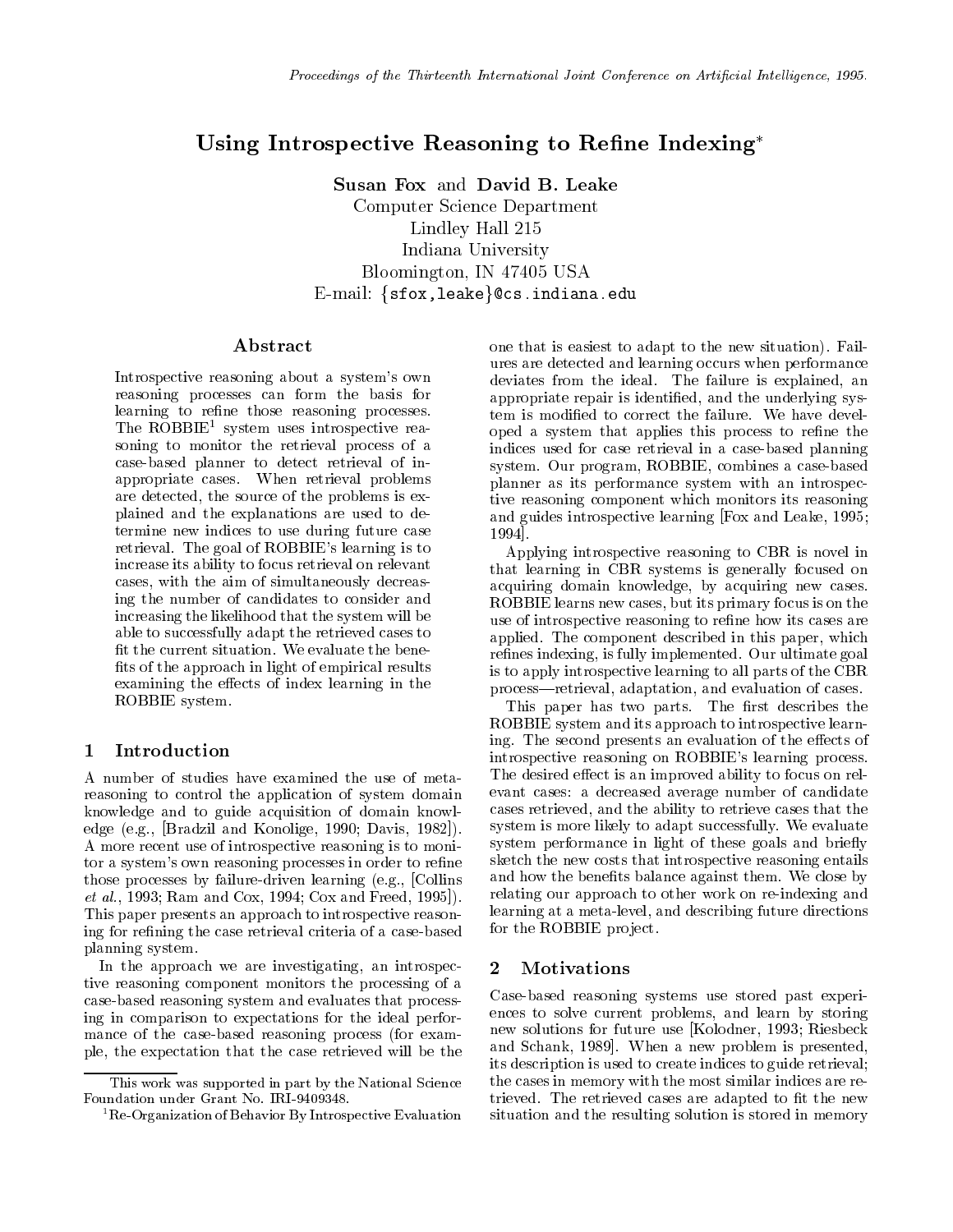# Using Introspective Reasoning to Rene Indexing

Susan Fox and David B. Leake Computer Science Department Lindley Hall 215 Indiana University Bloomington, IN 47405 USA E-mail:  $sfor, leake$   $ccs.indiana.edu$ 

## A bstract

Introspective reasoning about a system's own reasoning processes can form the basis for learning to refine those reasoning processes. Ine ROBBIE<sup>-</sup> system uses introspective reasoning to monitor the retrieval process of a case-based planner to detect retrieval of inappropriate cases. When retrieval problems are detected, the source of the problems is explained and the explanations are used to determine new indices to use during future case retrieval. The goal of ROBBIE's learning is to increase its ability to focus retrieval on relevant cases, with the aim of simultaneously decreasing the number of candidates to consider and increasing the likelihood that the system will be able to successfully adapt the retrieved cases to fit the current situation. We evaluate the benefits of the approach in light of empirical results examining the effects of index learning in the ROBBIE system.

# 1 Introduction

A number of studies have examined the use of metareasoning to control the application of system domain knowledge and to guide acquisition of domain knowledge (e.g., [Bradzil and Konolige, 1990; Davis, 1982]). A more recent use of introspective reasoning is to monitor a system's own reasoning processes in order to refine those processes by failure-driven learning (e.g., [Collins et al., 1993; Ram and Cox, 1994; Cox and Freed, 1995]). This paper presents an approach to introspective reasoning for refining the case retrieval criteria of a case-based planning system.

In the approach we are investigating, an introspective reasoning component monitors the processing of a case-based reasoning system and evaluates that processing in comparison to expectations for the ideal performance of the case-based reasoning process (for example, the expectation that the case retrieved will be the one that is easiest to adapt to the new situation). Failures are detected and learning occurs when performance deviates from the ideal. The failure is explained, an appropriate repair is identied, and the underlying system is modied to correct the failure. We have developed a system that applies this process to refine the indices used for case retrieval in a case-based planning system. Our program, ROBBIE, combines a case-based planner as its performance system with an introspective reasoning component which monitors its reasoning and guides introspective learning [Fox and Leake, 1995; 1994].

Applying introspective reasoning to CBR is novel in that learning in CBR systems is generally focused on acquiring domain knowledge, by acquiring new cases. ROBBIE learns new cases, but its primary focus is on the use of introspective reasoning to refine how its cases are applied. The component described in this paper, which refines indexing, is fully implemented. Our ultimate goal is to apply introspective learning to all parts of the CBR process—retrieval, adaptation, and evaluation of cases.

This paper has two parts. The first describes the ROBBIE system and its approach to introspective learning. The second presents an evaluation of the effects of introspective reasoning on ROBBIE's learning process. The desired effect is an improved ability to focus on relevant cases: a decreased average number of candidate cases retrieved, and the ability to retrieve cases that the system is more likely to adapt successfully. We evaluate system performance in light of these goals and briefly sketch the new costs that introspective reasoning entails and how the benefits balance against them. We close by relating our approach to other work on re-indexing and learning at a meta-level, and describing future directions for the ROBBIE project.

### $\overline{2}$ **Motivations**

 $\cdots$  cases in memory with the most similar indices are re-second  $\cdots$ situation and the resulting solution is stored in memory  $\mathbf{r}$ Case-based reasoning systems use stored past experiences to solve current problems, and learn by storing new solutions for future use [Kolodner, 1993; Riesbeck and Schank, 1989]. When a new problem is presented, its description is used to create indices to guide retrieval; trieved. The retrieved cases are adapted to fit the new

This work was supported in part by the National ScienceFoundation under Grant No. IRI-9409348.

<sup>1</sup>Re-Organization of Behavior By Introspective Evaluation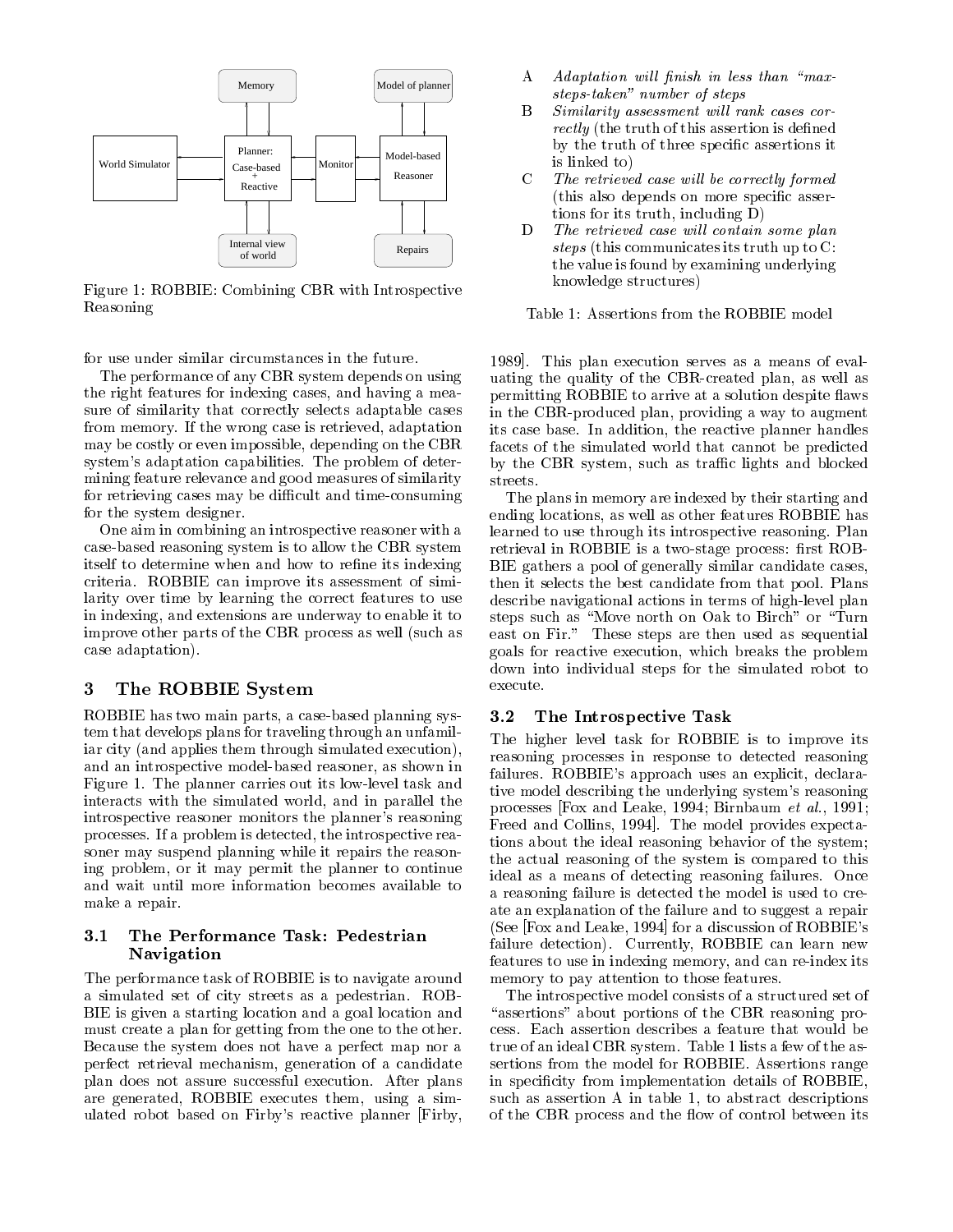

Figure 1: ROBBIE: Combining CBR with Introspective Reasoning

for use under similar circumstances in the future.

The performance of any CBR system depends on using the right features for indexing cases, and having a measure of similarity that correctly selects adaptable cases from memory. If the wrong case is retrieved, adaptation may be costly or even impossible, depending on the CBR system's adaptation capabilities. The problem of determining feature relevance and good measures of similarity for retrieving cases may be difficult and time-consuming for the system designer.

One aim in combining an introspective reasoner with a case-based reasoning system is to allow the CBR system itself to determine when and how to refine its indexing criteria. ROBBIE can improve its assessment of similarity over time by learning the correct features to use in indexing, and extensions are underway to enable it to improve other parts of the CBR process as well (such as case adaptation).

# 3 The ROBBIE System

ROBBIE has two main parts, a case-based planning system that develops plans for traveling through an unfamiliar city (and applies them through simulated execution), and an introspective model-based reasoner, as shown in Figure 1. The planner carries out its low-level task and interacts with the simulated world, and in parallel the introspective reasoner monitors the planner's reasoning processes. If a problem is detected, the introspective reasoner may suspend planning while it repairs the reasoning problem, or it may permit the planner to continue and wait until more information becomes available to make a repair.

## 3.1 The Performance Task: Pedestrian Navigation

The performance task of ROBBIE is to navigate around a simulated set of city streets as a pedestrian. ROB-BIE is given a starting location and a goal location and must create a plan for getting from the one to the other. Because the system does not have a perfect map nor a perfect retrieval mechanism, generation of a candidate plan does not assure successful execution. After plans are generated, ROBBIE executes them, using a simulated robot based on Firby's reactive planner [Firby,

- A Adaptation will finish in less than "maxsteps-taken" number of steps
- B Similarity assessment will rank cases correctly (the truth of this assertion is defined by the truth of three specific assertions it is linked to)
- C The retrieved case will be correctly formed (this also depends on more specic assertions for its truth, including D)
- D The retrieved case will contain some plan steps (this communicates its truth up to C: the value is found by examining underlying knowledge structures)

Table 1: Assertions from the ROBBIE model

1989]. This plan execution serves as a means of evaluating the quality of the CBR-created plan, as well as permitting ROBBIE to arrive at a solution despite flaws in the CBR-produced plan, providing a way to augment its case base. In addition, the reactive planner handles facets of the simulated world that cannot be predicted by the CBR system, such as traffic lights and blocked streets.

The plans in memory are indexed by their starting and ending locations, as well as other features ROBBIE has learned to use through its introspective reasoning. Plan retrieval in ROBBIE is a two-stage process: first ROB-BIE gathers a pool of generally similar candidate cases, then it selects the best candidate from that pool. Plans describe navigational actions in terms of high-level plan steps such as "Move north on Oak to Birch" or "Turn east on Fir." These steps are then used as sequential goals for reactive execution, which breaks the problem down into individual steps for the simulated robot to execute.

## 3.2 The Introspective Task

The higher level task for ROBBIE is to improve its reasoning processes in response to detected reasoning failures. ROBBIE's approach uses an explicit, declarative model describing the underlying system's reasoning processes [Fox and Leake, 1994; Birnbaum et al., 1991; Freed and Collins, 1994]. The model provides expectations about the ideal reasoning behavior of the system; the actual reasoning of the system is compared to this ideal as a means of detecting reasoning failures. Once a reasoning failure is detected the model is used to create an explanation of the failure and to suggest a repair (See [Fox and Leake, 1994] for a discussion of ROBBIE's failure detection). Currently, ROBBIE can learn new features to use in indexing memory, and can re-index its memory to pay attention to those features.

The introspective model consists of a structured set of "assertions" about portions of the CBR reasoning process. Each assertion describes a feature that would be true of an ideal CBR system. Table 1 lists a few of the assertions from the model for ROBBIE. Assertions range in specificity from implementation details of ROBBIE, such as assertion A in table 1, to abstract descriptions of the CBR process and the flow of control between its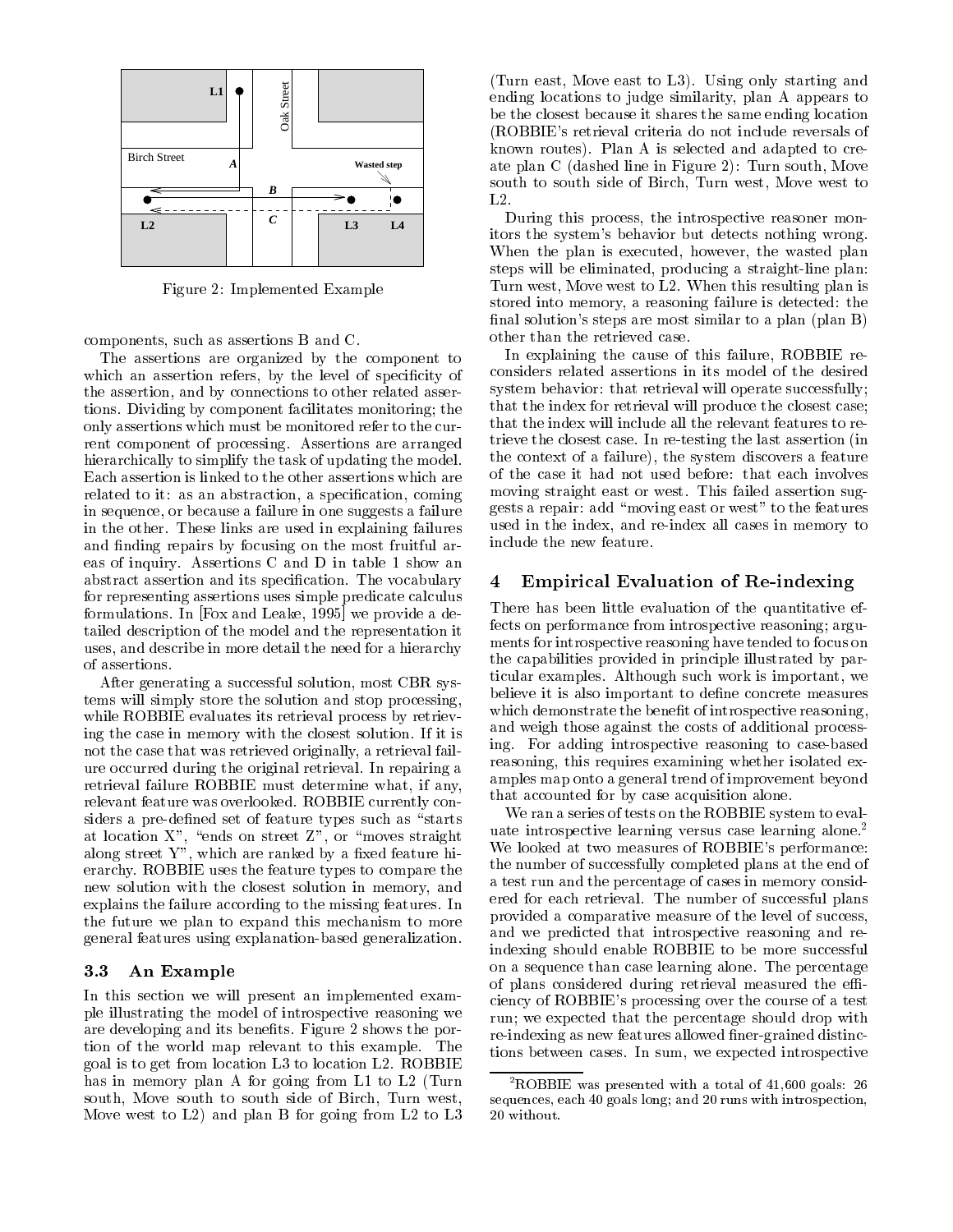

Figure 2: Implemented Example

components, such as assertions B and C.

The assertions are organized by the component to which an assertion refers, by the level of specificity of the assertion, and by connections to other related assertions. Dividing by component facilitates monitoring; the only assertions which must be monitored refer to the current component of processing. Assertions are arranged hierarchically to simplify the task of updating the model. Each assertion is linked to the other assertions which are related to it: as an abstraction, a specification, coming in sequence, or because a failure in one suggests a failure in the other. These links are used in explaining failures and finding repairs by focusing on the most fruitful areas of inquiry. Assertions C and D in table 1 show an abstract assertion and its specification. The vocabulary 4 for representing assertions uses simple predicate calculus formulations. In [Fox and Leake, 1995] we provide a detailed description of the model and the representation it uses, and describe in more detail the need for a hierarchy of assertions.

After generating a successful solution, most CBR systems will simply store the solution and stop processing, while ROBBIE evaluates its retrieval process by retrieving the case in memory with the closest solution. If it is not the case that was retrieved originally, a retrieval failure occurred during the original retrieval. In repairing a retrieval failure ROBBIE must determine what, if any, relevant feature was overlooked. ROBBIE currently considers a pre-defined set of feature types such as "starts" at location  $\mathcal{U}$  , or  $\mathcal{U}$  , or  $\mathcal{U}$  , or  $\mathcal{U}$  , or  $\mathcal{U}$  , or  $\mathcal{U}$  , or  $\mathcal{U}$  , or  $\mathcal{U}$ along street  $\sim$  , which are ranked by a military feature  $\sim$ erarchy. ROBBIE uses the feature types to compare the new solution with the closest solution in memory, and explains the failure according to the missing features. In the future we plan to expand this mechanism to more general features using explanation-based generalization.

### $3.3$ An Example

In this section we will present an implemented example illustrating the model of introspective reasoning we are developing and its benefits. Figure 2 shows the portion of the world map relevant to this example. The goal is to get from location L3 to location L2. ROBBIE has in memory plan A for going from L1 to L2 (Turn south, Move south to south side of Birch, Turn west, Move west to L2) and plan B for going from L2 to L3 (Turn east, Move east to L3). Using only starting and ending locations to judge similarity, plan A appears to be the closest because it shares the same ending location (ROBBIE's retrieval criteria do not include reversals of known routes). Plan A is selected and adapted to create plan C (dashed line in Figure 2): Turn south, Move south to south side of Birch, Turn west, Move west to L2.

During this process, the introspective reasoner monitors the system's behavior but detects nothing wrong. When the plan is executed, however, the wasted plan steps will be eliminated, producing a straight-line plan: Turn west, Move west to L2. When this resulting plan is stored into memory, a reasoning failure is detected: the final solution's steps are most similar to a plan (plan B) other than the retrieved case.

In explaining the cause of this failure, ROBBIE reconsiders related assertions in its model of the desired system behavior: that retrieval will operate successfully; that the index for retrieval will produce the closest case; that the index will include all the relevant features to retrieve the closest case. In re-testing the last assertion (in the context of a failure), the system discovers a feature of the case it had not used before: that each involves moving straight east or west. This failed assertion suggests a repair: add \moving east or west" to the features used in the index, and re-index all cases in memory to include the new feature.

# 4 Empirical Evaluation of Re-indexing

There has been little evaluation of the quantitative effects on performance from introspective reasoning; arguments for introspective reasoning have tended to focus on the capabilities provided in principle illustrated by particular examples. Although such work is important, we believe it is also important to define concrete measures which demonstrate the benefit of introspective reasoning, and weigh those against the costs of additional processing. For adding introspective reasoning to case-based reasoning, this requires examining whether isolated examples map onto a general trend of improvement beyond that accounted for by case acquisition alone.

We ran a series of tests on the ROBBIE system to evaluate introspective learning versus case learning alone.<sup>2</sup> We looked at two measures of ROBBIE's performance: the number of successfully completed plans at the end of a test run and the percentage of cases in memory considered for each retrieval. The number of successful plans provided a comparative measure of the level of success, and we predicted that introspective reasoning and reindexing should enable ROBBIE to be more successful on a sequence than case learning alone. The percentage of plans considered during retrieval measured the efficiency of ROBBIE's processing over the course of a test run; we expected that the percentage should drop with re-indexing as new features allowed finer-grained distinctions between cases. In sum, we expected introspective

<sup>-</sup>ROBBIE was presented with a total of 41,600 goals: 26 sequences, each 40 goals long; and 20 runs with introspection,20 without.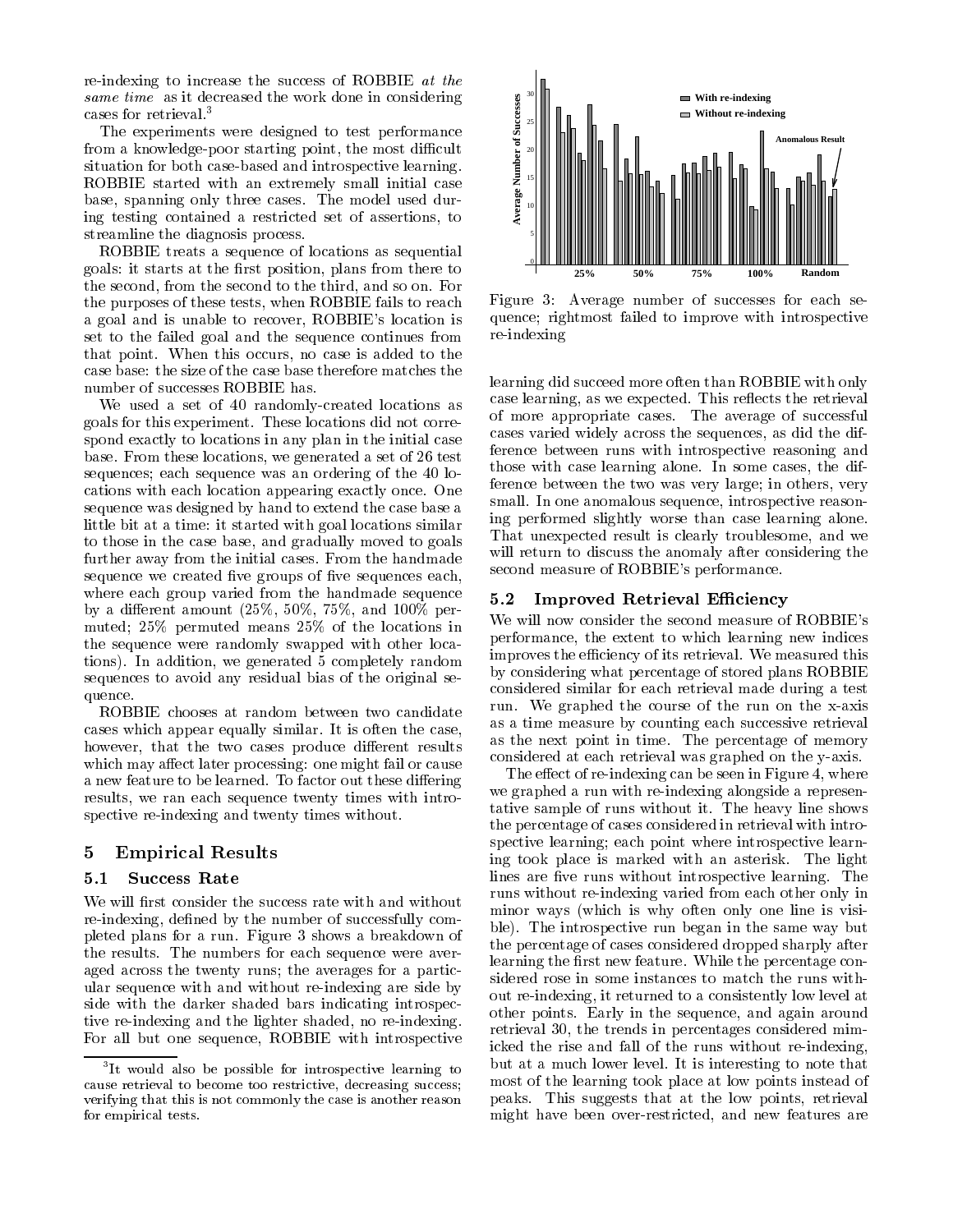re-indexing to increase the success of ROBBIE at the same time as it decreased the work done in considering cases for retrieval.<sup>3</sup>

The experiments were designed to test performance from a knowledge-poor starting point, the most difficult situation for both case-based and introspective learning. ROBBIE started with an extremely small initial case base, spanning only three cases. The model used during testing contained a restricted set of assertions, to streamline the diagnosis process.

ROBBIE treats a sequence of locations as sequential goals: it starts at the first position, plans from there to the second, from the second to the third, and so on. For the purposes of these tests, when ROBBIE fails to reach a goal and is unable to recover, ROBBIE's location is set to the failed goal and the sequence continues from that point. When this occurs, no case is added to the case base: the size of the case base therefore matches the number of successes ROBBIE has.

We used a set of 40 randomly-created locations as goals for this experiment. These locations did not correspond exactly to locations in any plan in the initial case base. From these locations, we generated a set of 26 test sequences; each sequence was an ordering of the 40 locations with each location appearing exactly once. One sequence was designed by hand to extend the case base a little bit at a time: it started with goal locations similar to those in the case base, and gradually moved to goals further away from the initial cases. From the handmade sequence we created five groups of five sequences each, where each group varied from the handmade sequence  $5.2$ by a different amount  $(25\%, 50\%, 75\%, \text{ and } 100\% \text{ per-}$ muted; 25% permuted means 25% of the locations in the sequence were randomly swapped with other locations). In addition, we generated 5 completely random sequences to avoid any residual bias of the original sequence.

ROBBIE chooses at random between two candidate cases which appear equally similar. It is often the case, however, that the two cases produce different results which may affect later processing: one might fail or cause a new feature to be learned. To factor out these differing results, we ran each sequence twenty times with introspective re-indexing and twenty times without.

# 5 Empirical Results

### $5.1$ **Success Rate**

We will first consider the success rate with and without re-indexing, defined by the number of successfully completed plans for a run. Figure 3 shows a breakdown of the results. The numbers for each sequence were averaged across the twenty runs; the averages for a particular sequence with and without re-indexing are side by side with the darker shaded bars indicating introspective re-indexing and the lighter shaded, no re-indexing. For all but one sequence, ROBBIE with introspective



Figure 3: Average number of successes for each sequence; rightmost failed to improve with introspective re-indexing

learning did succeed more often than ROBBIE with only case learning, as we expected. This reflects the retrieval of more appropriate cases. The average of successful cases varied widely across the sequences, as did the difference between runs with introspective reasoning and those with case learning alone. In some cases, the difference between the two was very large; in others, very small. In one anomalous sequence, introspective reasoning performed slightly worse than case learning alone. That unexpected result is clearly troublesome, and we will return to discuss the anomaly after considering the second measure of ROBBIE's performance.

# Improved Retrieval Efficiency

We will now consider the second measure of ROBBIE's performance, the extent to which learning new indices improves the efficiency of its retrieval. We measured this by considering what percentage of stored plans ROBBIE considered similar for each retrieval made during a test run. We graphed the course of the run on the x-axis as a time measure by counting each successive retrieval as the next point in time. The percentage of memory considered at each retrieval was graphed on the y-axis.

peaks. This suggests that at the low points, retrievals that at the low points, retrievals of  $\Gamma$ The effect of re-indexing can be seen in Figure 4, where we graphed a run with re-indexing alongside a representative sample of runs without it. The heavy line shows the percentage of cases considered in retrieval with introspective learning; each point where introspective learning took place is marked with an asterisk. The light lines are five runs without introspective learning. The runs without re-indexing varied from each other only in minor ways (which is why often only one line is visible). The introspective run began in the same way but the percentage of cases considered dropped sharply after learning the first new feature. While the percentage considered rose in some instances to match the runs without re-indexing, it returned to a consistently low level at other points. Early in the sequence, and again around retrieval 30, the trends in percentages considered mimicked the rise and fall of the runs without re-indexing, but at a much lower level. It is interesting to note that most of the learning took place at low points instead of might have been over-restricted, and new features are

It would also be possible for introspective learning to the subcause retrieval to become too restrictive, decreasing success;verifying that this is not commonly the case is another reasonfor empirical tests.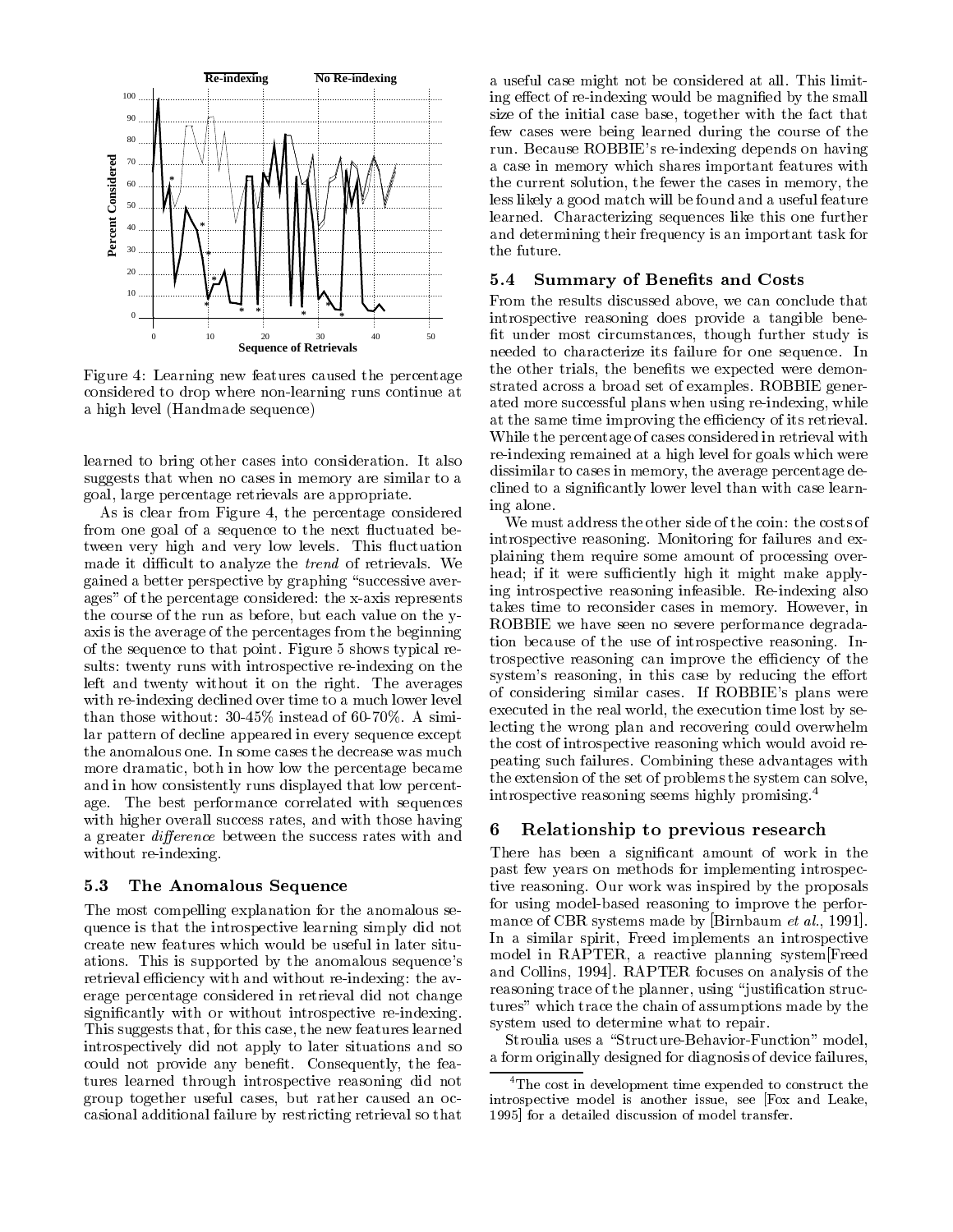

Figure 4: Learning new features caused the percentage considered to drop where non-learning runs continue at a high level (Handmade sequence)

learned to bring other cases into consideration. It also suggests that when no cases in memory are similar to a goal, large percentage retrievals are appropriate.

As is clear from Figure 4, the percentage considered from one goal of a sequence to the next fluctuated between very high and very low levels. This fluctuation made it difficult to analyze the *trend* of retrievals. We gained a better perspective by graphing "successive averages" of the percentage considered: the x-axis represents the course of the run as before, but each value on the yaxis is the average of the percentages from the beginning of the sequence to that point. Figure 5 shows typical results: twenty runs with introspective re-indexing on the left and twenty without it on the right. The averages with re-indexing declined over time to a much lower level than those without: 30-45% instead of 60-70%. A similar pattern of decline appeared in every sequence except the anomalous one. In some cases the decrease was much more dramatic, both in how low the percentage became and in how consistently runs displayed that low percentage. The best performance correlated with sequences with higher overall success rates, and with those having  $\frac{1}{2}$   $\frac{1}{2}$ a greater *difference* between the success rates with and without re-indexing.

### 5.3 The Anomalous Sequence

The most compelling explanation for the anomalous sequence is that the introspective learning simply did not create new features which would be useful in later situations. This is supported by the anomalous sequence's retrieval efficiency with and without re-indexing: the average percentage considered in retrieval did not change signicantly with or without introspective re-indexing. This suggests that, for this case, the new features learned introspectively did not apply to later situations and so could not provide any benefit. Consequently, the features learned through introspective reasoning did not group together useful cases, but rather caused an occasional additional failure by restricting retrieval so that a useful case might not be considered at all. This limiting effect of re-indexing would be magnified by the small size of the initial case base, together with the fact that few cases were being learned during the course of the run. Because ROBBIE's re-indexing depends on having a case in memory which shares important features with the current solution, the fewer the cases in memory, the less likely a good match will be found and a useful feature learned. Characterizing sequences like this one further and determining their frequency is an important task for the future.

#### $5.4$ Summary of Benefits and Costs

From the results discussed above, we can conclude that introspective reasoning does provide a tangible bene fit under most circumstances, though further study is needed to characterize its failure for one sequence. In the other trials, the benefits we expected were demonstrated across a broad set of examples. ROBBIE generated more successful plans when using re-indexing, while at the same time improving the efficiency of its retrieval. While the percentage of cases considered in retrieval with re-indexing remained at a high level for goals which were dissimilar to cases in memory, the average percentage declined to a signicantly lower level than with case learning alone.

We must address the other side of the coin: the costs of introspective reasoning. Monitoring for failures and explaining them require some amount of processing overhead; if it were sufficiently high it might make applying introspective reasoning infeasible. Re-indexing also takes time to reconsider cases in memory. However, in ROBBIE we have seen no severe performance degradation because of the use of introspective reasoning. Introspective reasoning can improve the efficiency of the system's reasoning, in this case by reducing the effort of considering similar cases. If ROBBIE's plans were executed in the real world, the execution time lost by selecting the wrong plan and recovering could overwhelm the cost of introspective reasoning which would avoid repeating such failures. Combining these advantages with the extension of the set of problems the system can solve, introspective reasoning seems highly promising.4

# Relationship to previous research

There has been a signicant amount of work in the past few years on methods for implementing introspective reasoning. Our work was inspired by the proposals for using model-based reasoning to improve the performance of CBR systems made by [Birnbaum *et al.*, 1991]. In a similar spirit, Freed implements an introspective model in RAPTER, a reactive planning system[Freed and Collins, 1994]. RAPTER focuses on analysis of the reasoning trace of the planner, using "justification structures" which trace the chain of assumptions made by the system used to determine what to repair.

Stroulia uses a "Structure-Behavior-Function" model, a form originally designed for diagnosis of device failures,

<sup>&</sup>lt;sup>4</sup>The cost in development time expended to construct the introspective model is another issue, see [Fox and Leake, 1995] for a detailed discussion of model transfer.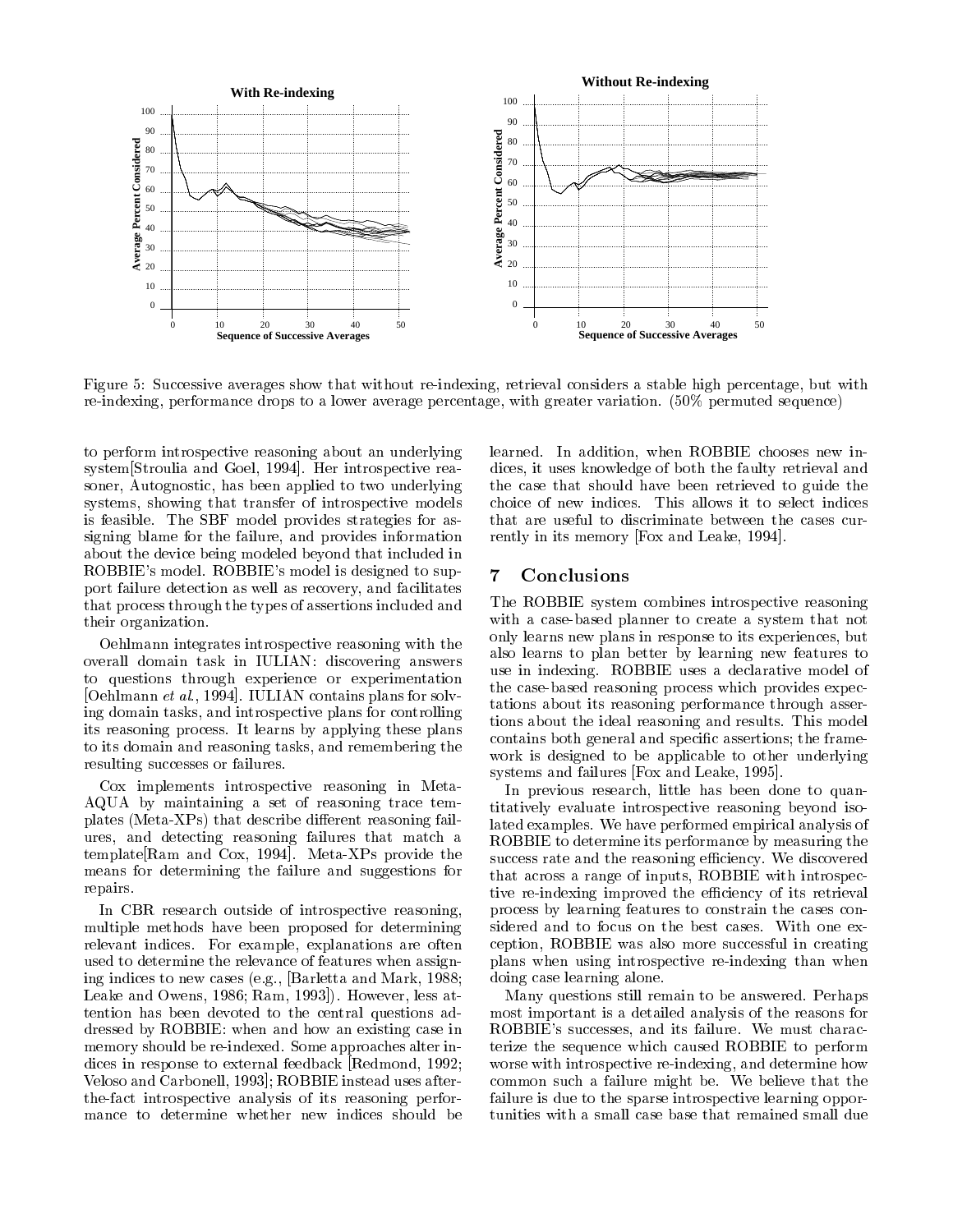

Figure 5: Successive averages show that without re-indexing, retrieval considers a stable high percentage, but with re-indexing, performance drops to a lower average percentage, with greater variation. (50% permuted sequence)

to perform introspective reasoning about an underlying system[Stroulia and Goel, 1994]. Her introspective reasoner, Autognostic, has been applied to two underlying systems, showing that transfer of introspective models is feasible. The SBF model provides strategies for assigning blame for the failure, and provides information about the device being modeled beyond that included in ROBBIE's model. ROBBIE's model is designed to support failure detection as well as recovery, and facilitates that process through the types of assertions included and their organization.

Oehlmann integrates introspective reasoning with the overall domain task in IULIAN: discovering answers to questions through experience or experimentation [Oehlmann et al., 1994]. IULIAN contains plans for solving domain tasks, and introspective plans for controlling its reasoning process. It learns by applying these plans to its domain and reasoning tasks, and remembering the resulting successes or failures.

Cox implements introspective reasoning in Meta-AQUA by maintaining a set of reasoning trace templates (Meta-XPs) that describe different reasoning failures, and detecting reasoning failures that match a template[Ram and Cox, 1994]. Meta-XPs provide the means for determining the failure and suggestions for repairs.

In CBR research outside of introspective reasoning, multiple methods have been proposed for determining relevant indices. For example, explanations are often used to determine the relevance of features when assigning indices to new cases (e.g., [Barletta and Mark, 1988; Leake and Owens, 1986; Ram, 1993]). However, less attention has been devoted to the central questions addressed by ROBBIE: when and how an existing case in memory should be re-indexed. Some approaches alter indices in response to external feedback [Redmond, 1992; Veloso and Carbonell, 1993]; ROBBIE instead uses afterthe-fact introspective analysis of its reasoning performance to determine whether new indices should be learned. In addition, when ROBBIE chooses new indices, it uses knowledge of both the faulty retrieval and the case that should have been retrieved to guide the choice of new indices. This allows it to select indices that are useful to discriminate between the cases currently in its memory [Fox and Leake, 1994].

## $\overline{7}$

The ROBBIE system combines introspective reasoning with a case-based planner to create a system that not only learns new plans in response to its experiences, but also learns to plan better by learning new features to use in indexing. ROBBIE uses a declarative model of the case-based reasoning process which provides expectations about its reasoning performance through assertions about the ideal reasoning and results. This model contains both general and specic assertions; the frame work is designed to be applicable to other underlying systems and failures [Fox and Leake, 1995].

In previous research, little has been done to quantitatively evaluate introspective reasoning beyond isolated examples. We have performed empirical analysis of ROBBIE to determine its performance by measuring the success rate and the reasoning efficiency. We discovered that across a range of inputs, ROBBIE with introspective re-indexing improved the efficiency of its retrieval process by learning features to constrain the cases considered and to focus on the best cases. With one exception, ROBBIE was also more successful in creating plans when using introspective re-indexing than when doing case learning alone.

Many questions still remain to be answered. Perhaps most important is a detailed analysis of the reasons for ROBBIE's successes, and its failure. We must characterize the sequence which caused ROBBIE to perform worse with introspective re-indexing, and determine how common such a failure might be. We believe that the failure is due to the sparse introspective learning opportunities with a small case base that remained small due